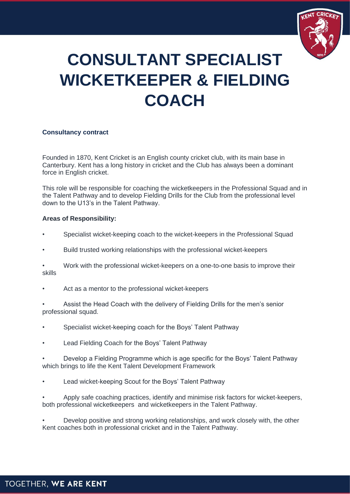

# **CONSULTANT SPECIALIST WICKETKEEPER & FIELDING COACH**

## **Consultancy contract**

Founded in 1870, Kent Cricket is an English county cricket club, with its main base in Canterbury. Kent has a long history in cricket and the Club has always been a dominant force in English cricket.

This role will be responsible for coaching the wicketkeepers in the Professional Squad and in the Talent Pathway and to develop Fielding Drills for the Club from the professional level down to the U13's in the Talent Pathway.

## **Areas of Responsibility:**

- Specialist wicket-keeping coach to the wicket-keepers in the Professional Squad
- Build trusted working relationships with the professional wicket-keepers
- Work with the professional wicket-keepers on a one-to-one basis to improve their skills
- Act as a mentor to the professional wicket-keepers
- Assist the Head Coach with the delivery of Fielding Drills for the men's senior professional squad.
- Specialist wicket-keeping coach for the Boys' Talent Pathway
- Lead Fielding Coach for the Boys' Talent Pathway
- Develop a Fielding Programme which is age specific for the Boys' Talent Pathway which brings to life the Kent Talent Development Framework
- Lead wicket-keeping Scout for the Boys' Talent Pathway
- Apply safe coaching practices, identify and minimise risk factors for wicket-keepers, both professional wicketkeepers and wicketkeepers in the Talent Pathway.
- Develop positive and strong working relationships, and work closely with, the other Kent coaches both in professional cricket and in the Talent Pathway.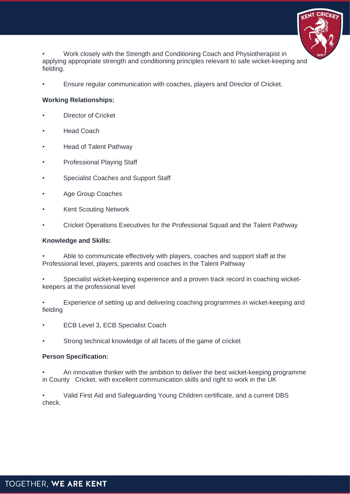

• Work closely with the Strength and Conditioning Coach and Physiotherapist in applying appropriate strength and conditioning principles relevant to safe wicket-keeping and fielding.

• Ensure regular communication with coaches, players and Director of Cricket.

## **Working Relationships:**

- **Director of Cricket**
- **Head Coach**
- Head of Talent Pathway
- Professional Playing Staff
- Specialist Coaches and Support Staff
- Age Group Coaches
- **Kent Scouting Network**
- Cricket Operations Executives for the Professional Squad and the Talent Pathway

#### **Knowledge and Skills:**

• Able to communicate effectively with players, coaches and support staff at the Professional level, players, parents and coaches in the Talent Pathway

• Specialist wicket-keeping experience and a proven track record in coaching wicketkeepers at the professional level

• Experience of setting up and delivering coaching programmes in wicket-keeping and fielding

- ECB Level 3, ECB Specialist Coach
- Strong technical knowledge of all facets of the game of cricket

## **Person Specification:**

• An innovative thinker with the ambition to deliver the best wicket-keeping programme in County Cricket, with excellent communication skills and right to work in the UK

• Valid First Aid and Safeguarding Young Children certificate, and a current DBS check.